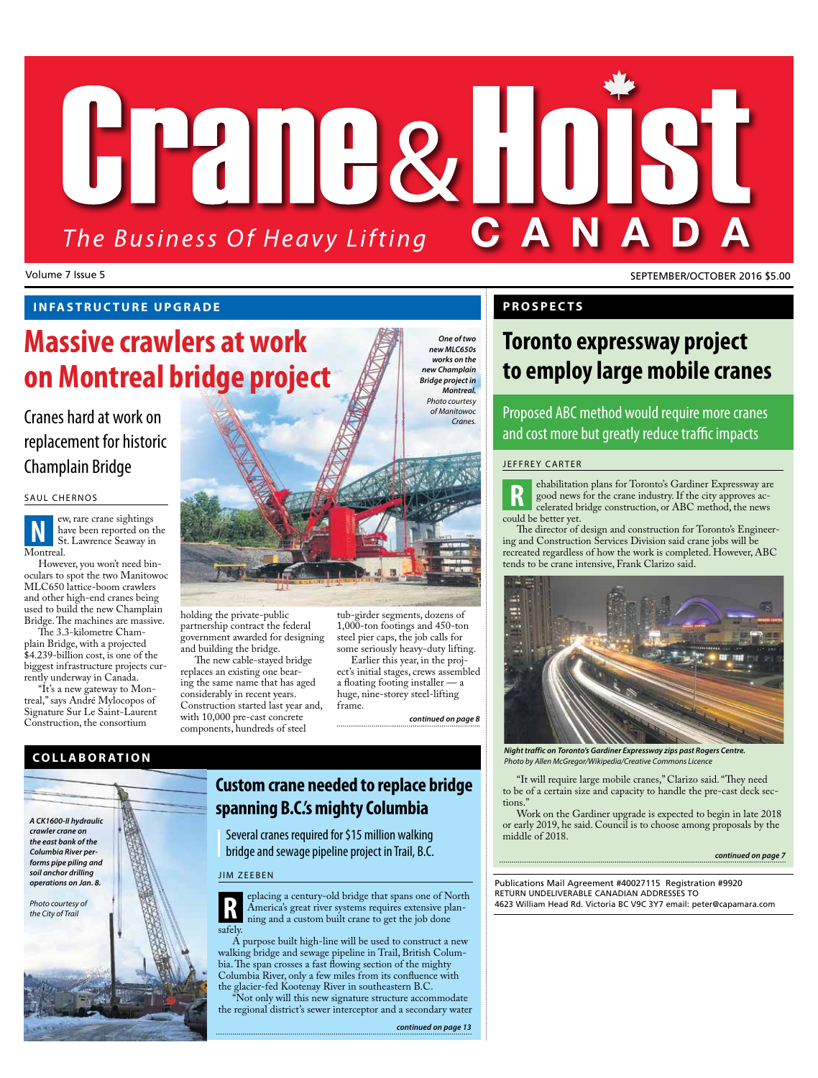# HPANA&H0 The Business Of Heavy Lifting

Volume 7 Issue 5 SEPTEMBER/OCTOBER 2016 \$5.00

## **INFASTRUCTURE UPGRADE**

# **Massive crawlers at work on Montreal bridge project**

# replacement for historic Champlain Bridge

#### SAUL CHERNOS

ew, rare crane sightings have been reported on the St. Lawrence Seaway in Montreal. **N**

However, you won't need binoculars to spot the two Manitowoc MLC650 lattice-boom crawlers and other high-end cranes being used to build the new Champlain Bridge. The machines are massive.

The 3.3-kilometre Champlain Bridge, with a projected \$4.239-billion cost, is one of the biggest infrastructure projects currently underway in Canada.

"It's a new gateway to Montreal," says André Mylocopos of Signature Sur Le Saint-Laurent Construction, the consortium



holding the private-public partnership contract the federal government awarded for designing and building the bridge.

The new cable-stayed bridge replaces an existing one bearing the same name that has aged considerably in recent years. Construction started last year and, with 10,000 pre-cast concrete components, hundreds of steel

tub-girder segments, dozens of 1,000-ton footings and 450-ton steel pier caps, the job calls for some seriously heavy-duty lifting.

Earlier this year, in the project's initial stages, crews assembled a floating footing installer — a huge, nine-storey steel-lifting frame.

*continued on page 8*



## **Custom crane needed to replace bridge spanning B.C.'s mighty Columbia**

Several cranes required for \$15 million walking bridge and sewage pipeline project in Trail, B.C.

#### JIM ZEEBEN



 $\overrightarrow{A}$  purpose built high-line will be used to construct a new walking bridge and sewage pipeline in Trail, British Columbia. The span crosses a fast flowing section of the mighty Columbia River, only a few miles from its confluence with the glacier-fed Kootenay River in southeastern B.C.

Not only will this new signature structure accommodate the regional district's sewer interceptor and a secondary water

#### **PROSPECTS**

## **Toronto expressway project to employ large mobile cranes**

Proposed ABC method would require more cranes and cost more but greatly reduce traffic impacts

#### JEFFREY CARTER

ehabilitation plans for Toronto's Gardiner Expressway are good news for the crane industry. If the city approves accelerated bridge construction, or ABC method, the news could be better yet. **R**

The director of design and construction for Toronto's Engineering and Construction Services Division said crane jobs will be recreated regardless of how the work is completed. However, ABC tends to be crane intensive, Frank Clarizo said.



*Night traffic on Toronto's Gardiner Expressway zips past Rogers Centre. Photo by Allen McGregor/Wikipedia/Creative Commons Licence*

"It will require large mobile cranes," Clarizo said. "They need to be of a certain size and capacity to handle the pre-cast deck sections.

Work on the Gardiner upgrade is expected to begin in late 2018 or early 2019, he said. Council is to choose among proposals by the middle of 2018.

*continued on page 7*

Publications Mail Agreement #40027115 Registration #9920 RETURN UNDELIVERABLE CANADIAN ADDRESSES TO 4623 William Head Rd. Victoria BC V9C 3Y7 email: peter@capamara.com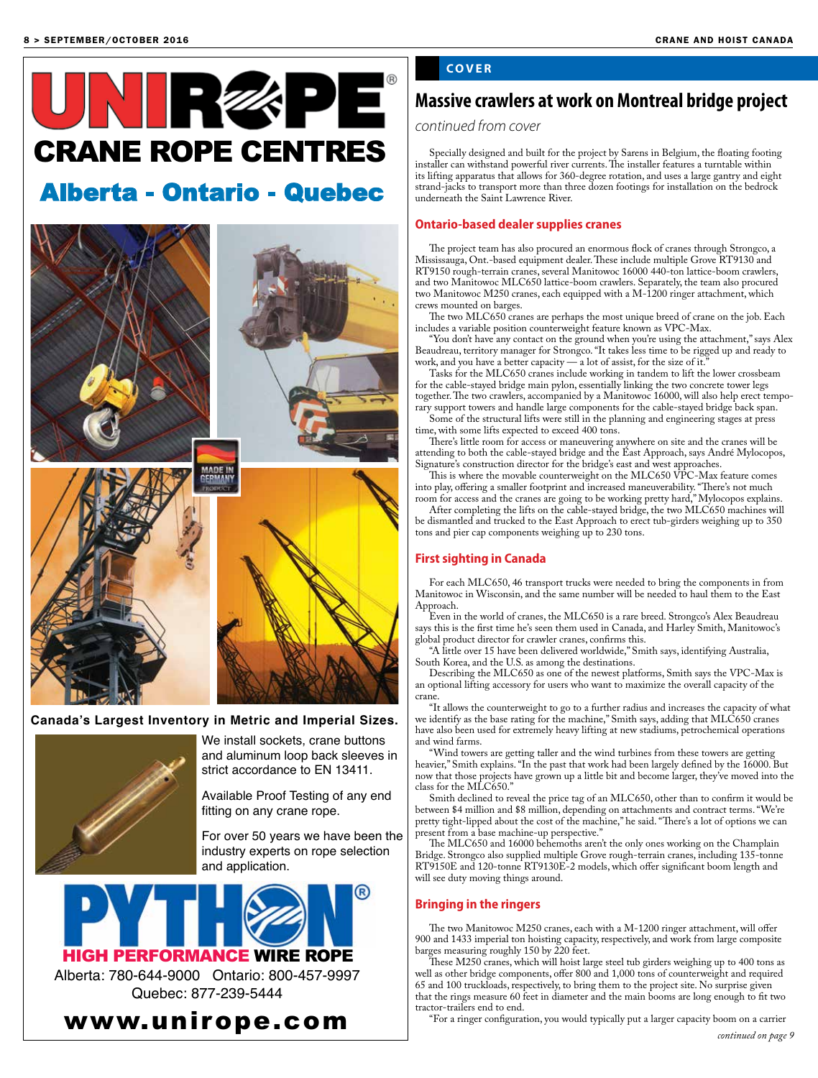

## **Canada's Largest Inventory in Metric and Imperial Sizes.**



We install sockets, crane buttons and aluminum loop back sleeves in strict accordance to EN 13411.

Available Proof Testing of any end fitting on any crane rope.

For over 50 years we have been the industry experts on rope selection and application.



HIGH PERFORMANCE WIRE ROPE

Alberta: 780-644-9000 Ontario: 800-457-9997 Quebec: 877-239-5444



## **COVER**

## **Massive crawlers at work on Montreal bridge project**

*continued from cover*

Specially designed and built for the project by Sarens in Belgium, the floating footing installer can withstand powerful river currents. The installer features a turntable within its lifting apparatus that allows for 360-degree rotation, and uses a large gantry and eight strand-jacks to transport more than three dozen footings for installation on the bedrock underneath the Saint Lawrence River.

#### **Ontario-based dealer supplies cranes**

The project team has also procured an enormous flock of cranes through Strongco, a Mississauga, Ont.-based equipment dealer. These include multiple Grove RT9130 and RT9150 rough-terrain cranes, several Manitowoc 16000 440-ton lattice-boom crawlers, and two Manitowoc MLC650 lattice-boom crawlers. Separately, the team also procured two Manitowoc M250 cranes, each equipped with a M-1200 ringer attachment, which crews mounted on barges.

The two MLC650 cranes are perhaps the most unique breed of crane on the job. Each includes a variable position counterweight feature known as VPC-Max.

"You don't have any contact on the ground when you're using the attachment," says Alex Beaudreau, territory manager for Strongco. "It takes less time to be rigged up and ready to work, and you have a better capacity — a lot of assist, for the size of it.

Tasks for the MLC650 cranes include working in tandem to lift the lower crossbeam for the cable-stayed bridge main pylon, essentially linking the two concrete tower legs together. The two crawlers, accompanied by a Manitowoc 16000, will also help erect tempo-

rary support towers and handle large components for the cable-stayed bridge back span. Some of the structural lifts were still in the planning and engineering stages at press time, with some lifts expected to exceed 400 tons.

There's little room for access or maneuvering anywhere on site and the cranes will be attending to both the cable-stayed bridge and the East Approach, says André Mylocopos, Signature's construction director for the bridge's east and west approaches.

This is where the movable counterweight on the MLC650 VPC-Max feature comes into play, offering a smaller footprint and increased maneuverability. "There's not much room for access and the cranes are going to be working pretty hard," Mylocopos explains.

After completing the lifts on the cable-stayed bridge, the two MLC650 machines will be dismantled and trucked to the East Approach to erect tub-girders weighing up to 350 tons and pier cap components weighing up to 230 tons.

#### **First sighting in Canada**

For each MLC650, 46 transport trucks were needed to bring the components in from Manitowoc in Wisconsin, and the same number will be needed to haul them to the East Approach.

Even in the world of cranes, the MLC650 is a rare breed. Strongco's Alex Beaudreau says this is the first time he's seen them used in Canada, and Harley Smith, Manitowoc's global product director for crawler cranes, confirms this.

"A little over 15 have been delivered worldwide," Smith says, identifying Australia, South Korea, and the U.S. as among the destinations.

Describing the MLC650 as one of the newest platforms, Smith says the VPC-Max is an optional lifting accessory for users who want to maximize the overall capacity of the crane.

"It allows the counterweight to go to a further radius and increases the capacity of what we identify as the base rating for the machine," Smith says, adding that MLC650 cranes have also been used for extremely heavy lifting at new stadiums, petrochemical operations and wind farms.

"Wind towers are getting taller and the wind turbines from these towers are getting heavier," Smith explains. "In the past that work had been largely defined by the 16000. But now that those projects have grown up a little bit and become larger, they've moved into the class for the MLC650."

Smith declined to reveal the price tag of an MLC650, other than to confirm it would be between \$4 million and \$8 million, depending on attachments and contract terms. "We're pretty tight-lipped about the cost of the machine," he said. "There's a lot of options we can resent from a base machine-up perspective.'

The MLC650 and 16000 behemoths aren't the only ones working on the Champlain Bridge. Strongco also supplied multiple Grove rough-terrain cranes, including 135-tonne RT9150E and 120-tonne RT9130E-2 models, which offer significant boom length and will see duty moving things around.

#### **Bringing in the ringers**

The two Manitowoc M250 cranes, each with a M-1200 ringer attachment, will offer 900 and 1433 imperial ton hoisting capacity, respectively, and work from large composite barges measuring roughly 150 by 220 feet.

These M250 cranes, which will hoist large steel tub girders weighing up to 400 tons as well as other bridge components, offer 800 and 1,000 tons of counterweight and required 65 and 100 truckloads, respectively, to bring them to the project site. No surprise given that the rings measure 60 feet in diameter and the main booms are long enough to fit two tractor-trailers end to end.

"For a ringer configuration, you would typically put a larger capacity boom on a carrier